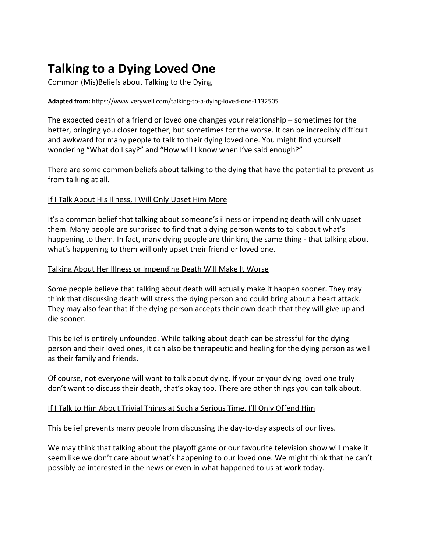# **Talking to a Dying Loved One**

Common (Mis)Beliefs about Talking to the Dying

#### **Adapted from:** https://www.verywell.com/talking-to-a-dying-loved-one-1132505

The expected death of a friend or loved one changes your relationship – sometimes for the better, bringing you closer together, but sometimes for the worse. It can be incredibly difficult and awkward for many people to talk to their dying loved one. You might find yourself wondering "What do I say?" and "How will I know when I've said enough?"

There are some common beliefs about talking to the dying that have the potential to prevent us from talking at all.

## If I Talk About His Illness, I Will Only Upset Him More

It's a common belief that talking about someone's illness or impending death will only upset them. Many people are surprised to find that a dying person wants to talk about what's happening to them. In fact, many dying people are thinking the same thing - that talking about what's happening to them will only upset their friend or loved one.

#### Talking About Her Illness or Impending Death Will Make It Worse

Some people believe that talking about death will actually make it happen sooner. They may think that discussing death will stress the dying person and could bring about a heart attack. They may also fear that if the dying person accepts their own death that they will give up and die sooner.

This belief is entirely unfounded. While talking about death can be stressful for the dying person and their loved ones, it can also be therapeutic and healing for the dying person as well as their family and friends.

Of course, not everyone will want to talk about dying. If your or your dying loved one truly don't want to discuss their death, that's okay too. There are other things you can talk about.

# If I Talk to Him About Trivial Things at Such a Serious Time, I'll Only Offend Him

This belief prevents many people from discussing the day-to-day aspects of our lives.

We may think that talking about the playoff game or our favourite television show will make it seem like we don't care about what's happening to our loved one. We might think that he can't possibly be interested in the news or even in what happened to us at work today.